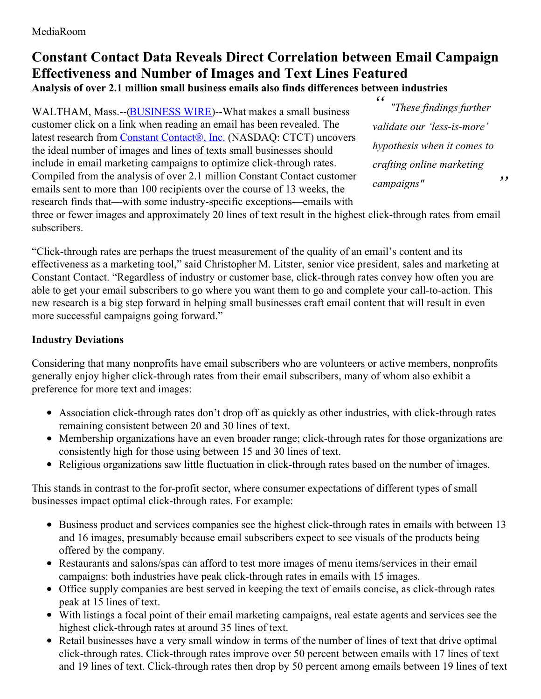## **Constant Contact Data Reveals Direct Correlation between Email Campaign Effectiveness and Number of Images and Text Lines Featured Analysis of over 2.1 million small business emails also finds differences between industries**

WALTHAM, Mass.--[\(BUSINESS](http://www.businesswire.com/) WIRE)--What makes a small business customer click on a link when reading an email has been revealed. The latest research from Constant [Contact®,](http://cts.businesswire.com/ct/CT?id=smartlink&url=http%3A%2F%2Fwww.constantcontact.com%2F&esheet=51050884&newsitemid=20150303005297&lan=en-US&anchor=Constant+Contact%C2%AE%2C+Inc.&index=1&md5=0b11eedd616a888e2dbda065f857f4ce) Inc. (NASDAQ: CTCT) uncovers the ideal number of images and lines of texts small businesses should include in email marketing campaigns to optimize click-through rates. Compiled from the analysis of over 2.1 million Constant Contact customer emails sent to more than 100 recipients over the course of 13 weeks, the research finds that—with some industry-specific exceptions—emails with

*" " "These findings further validate our 'less-is-more' hypothesis when it comes to crafting online marketing campaigns"*

three or fewer images and approximately 20 lines of text result in the highest click-through rates from email subscribers.

"Click-through rates are perhaps the truest measurement of the quality of an email's content and its effectiveness as a marketing tool," said Christopher M. Litster, senior vice president, sales and marketing at Constant Contact. "Regardless of industry or customer base, click-through rates convey how often you are able to get your email subscribers to go where you want them to go and complete your call-to-action. This new research is a big step forward in helping small businesses craft email content that will result in even more successful campaigns going forward."

## **Industry Deviations**

Considering that many nonprofits have email subscribers who are volunteers or active members, nonprofits generally enjoy higher click-through rates from their email subscribers, many of whom also exhibit a preference for more text and images:

- Association click-through rates don't drop off as quickly as other industries, with click-through rates remaining consistent between 20 and 30 lines of text.
- Membership organizations have an even broader range; click-through rates for those organizations are consistently high for those using between 15 and 30 lines of text.
- Religious organizations saw little fluctuation in click-through rates based on the number of images.

This stands in contrast to the for-profit sector, where consumer expectations of different types of small businesses impact optimal click-through rates. For example:

- Business product and services companies see the highest click-through rates in emails with between 13 and 16 images, presumably because email subscribers expect to see visuals of the products being offered by the company.
- Restaurants and salons/spas can afford to test more images of menu items/services in their email campaigns: both industries have peak click-through rates in emails with 15 images.
- Office supply companies are best served in keeping the text of emails concise, as click-through rates peak at 15 lines of text.
- With listings a focal point of their email marketing campaigns, real estate agents and services see the highest click-through rates at around 35 lines of text.
- Retail businesses have a very small window in terms of the number of lines of text that drive optimal click-through rates. Click-through rates improve over 50 percent between emails with 17 lines of text and 19 lines of text. Click-through rates then drop by 50 percent among emails between 19 lines of text